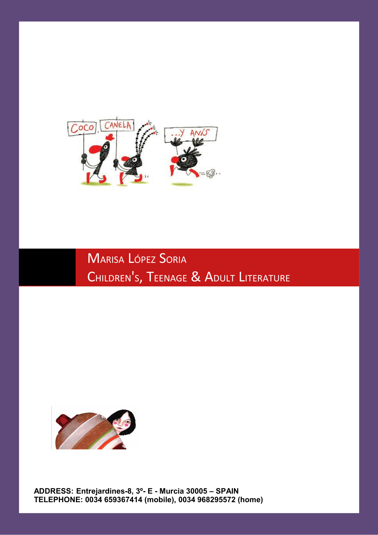

MARISA LÓPEZ SORIA CHILDREN 's**, T**eenage & Adult Literature



**ADDRESS: Entrejardines-8, 3º- E - Murcia 30005 – SPAIN TELEPHONE: 0034 659367414 (mobile), 0034 968295572 (home)**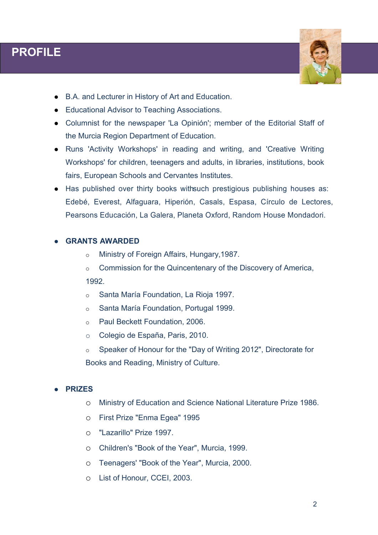# **PROFILE**

I



- B.A. and Lecturer in History of Art and Education.
- Educational Advisor to Teaching Associations.
- Columnist for the newspaper 'La Opinión'; member of the Editorial Staff of the Murcia Region Department of Education.
- Runs 'Activity Workshops' in reading and writing, and 'Creative Writing Workshops' for children, teenagers and adults, in libraries, institutions, book fairs, European Schools and Cervantes Institutes.
- Has published over thirty books with such prestigious publishing houses as: Edebé, Everest, Alfaguara, Hiperión, Casals, Espasa, Círculo de Lectores, Pearsons Educación, La Galera, Planeta Oxford, Random House Mondadori.

### **GRANTS AWARDED**

- o Ministry of Foreign Affairs, Hungary,1987.
- o Commission for the Quincentenary of the Discovery of America, 1992.
- o Santa María Foundation, La Rioja 1997.
- o Santa María Foundation, Portugal 1999.
- o Paul Beckett Foundation, 2006.
- o Colegio de España, Paris, 2010.
- o Speaker of Honour for the "Day of Writing 2012", Directorate for Books and Reading, Ministry of Culture.

#### **PRIZES**

- o Ministry of Education and Science National Literature Prize 1986.
- o First Prize "Enma Egea" 1995
- o "Lazarillo" Prize 1997.
- o Children's "Book of the Year", Murcia, 1999.
- o Teenagers' "Book of the Year", Murcia, 2000.
- o List of Honour, CCEI, 2003.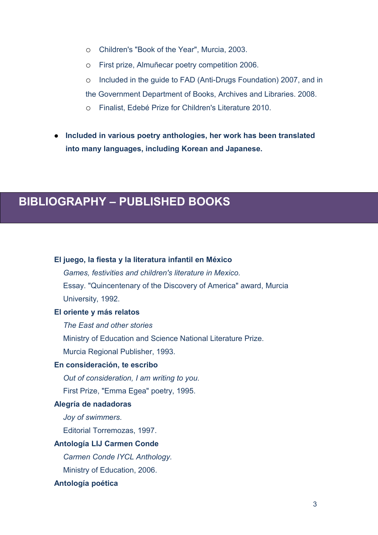- o Children's "Book of the Year", Murcia, 2003.
- o First prize, Almuñecar poetry competition 2006.
- o Included in the guide to FAD (Anti-Drugs Foundation) 2007, and in the Government Department of Books, Archives and Libraries. 2008.
- o Finalist, Edebé Prize for Children's Literature 2010.
- **Included in various poetry anthologies, her work has been translated into many languages, including Korean and Japanese.**

# **BIBLIOGRAPHY – PUBLISHED BOOKS**

# **El juego, la fiesta y la literatura infantil en México**  *Games, festivities and children's literature in Mexico.* Essay. "Quincentenary of the Discovery of America" award, Murcia University, 1992. **El oriente y más relatos** *The East and other stories* Ministry of Education and Science National Literature Prize. Murcia Regional Publisher, 1993. **En consideración, te escribo** *Out of consideration, I am writing to you.* First Prize, "Emma Egea" poetry, 1995. **Alegría de nadadoras** *Joy of swimmers.* Editorial Torremozas, 1997. **Antología LIJ Carmen Conde** *Carmen Conde IYCL Anthology.* Ministry of Education, 2006. **Antología poética**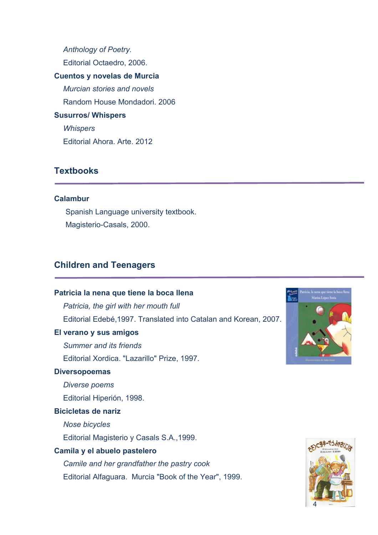*Anthology of Poetry.* Editorial Octaedro, 2006. **Cuentos y novelas de Murcia** *Murcian stories and novels*  Random House Mondadori. 2006 **Susurros/ Whispers** *Whispers* Editorial Ahora. Arte. 2012

## **Textbooks**

#### **Calambur**

Spanish Language university textbook. Magisterio-Casals, 2000.

## **Children and Teenagers**

#### **Patricia la nena que tiene la boca llena**

*Patricia, the girl with her mouth full* Editorial Edebé,1997. Translated into Catalan and Korean, 2007.

### **El verano y sus amigos**

*Summer and its friends* Editorial Xordica. "Lazarillo" Prize, 1997.

#### **Diversopoemas**

*Diverse poems*

Editorial Hiperión, 1998.

#### **Bicicletas de nariz**

*Nose bicycles*

Editorial Magisterio y Casals S.A.,1999.

#### **Camila y el abuelo pastelero**

*Camile and her grandfather the pastry cook* Editorial Alfaguara. Murcia "Book of the Year", 1999.



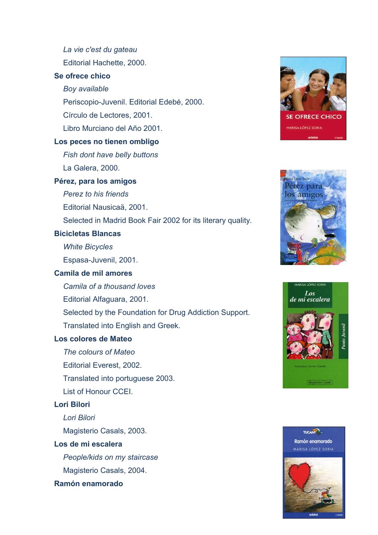*La vie c'est du gateau*

Editorial Hachette, 2000.

## **Se ofrece chico**

*Boy available*

Periscopio-Juvenil. Editorial Edebé, 2000.

Círculo de Lectores, 2001.

Libro Murciano del Año 2001.

#### **Los peces no tienen ombligo**

*Fish dont have belly buttons*

La Galera, 2000.

#### **Pérez, para los amigos**

*Perez to his friends*

Editorial Nausicaä, 2001.

Selected in Madrid Book Fair 2002 for its literary quality.

#### **Bicicletas Blancas**

*White Bicycles*

Espasa-Juvenil, 2001.

#### **Camila de mil amores**

*Camila of a thousand loves*

Editorial Alfaguara, 2001.

Selected by the Foundation for Drug Addiction Support.

Translated into English and Greek.

### **Los colores de Mateo**

- *The colours of Mateo*
- Editorial Everest, 2002.

Translated into portuguese 2003.

List of Honour CCEI.

#### **Lori Bilori**

*Lori Bilori*

Magisterio Casals, 2003.

#### **Los de mi escalera**

*People/kids on my staircase* Magisterio Casals, 2004.

#### **Ramón enamorado**







TUCANT? Ramón enamorado MARISA LÓPEZ SORIA

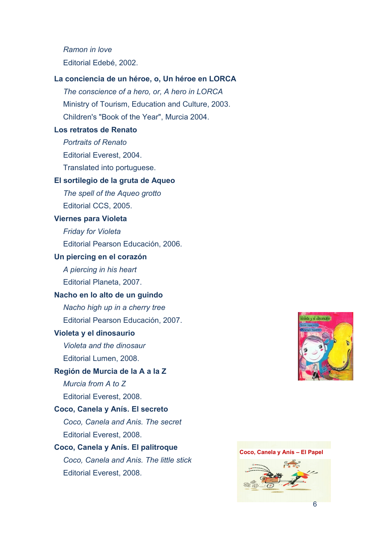*Ramon in love* Editorial Edebé, 2002.

#### **La conciencia de un héroe, o, Un héroe en LORCA**

*The conscience of a hero, or, A hero in LORCA* Ministry of Tourism, Education and Culture, 2003. Children's "Book of the Year", Murcia 2004.

#### **Los retratos de Renato**

*Portraits of Renato* Editorial Everest, 2004. Translated into portuguese.

#### **El sortilegio de la gruta de Aqueo**

*The spell of the Aqueo grotto* Editorial CCS, 2005.

#### **Viernes para Violeta**

*Friday for Violeta*  Editorial Pearson Educación, 2006.

#### **Un piercing en el corazón**

*A piercing in his heart* Editorial Planeta, 2007.

#### **Nacho en lo alto de un guindo**

*Nacho high up in a cherry tree* Editorial Pearson Educación, 2007.

#### **Violeta y el dinosaurio**

*Violeta and the dinosaur* Editorial Lumen, 2008.

#### **Región de Murcia de la A a la Z**

*Murcia from A to Z*

Editorial Everest, 2008.

## **Coco, Canela y Anís. El secreto** *Coco, Canela and Anis. The secret*

Editorial Everest, 2008.

## **Coco, Canela y Anís. El palitroque** *Coco, Canela and Anis. The little stick* Editorial Everest, 2008.



#### **Coco, Canela y Anís – El Papel**